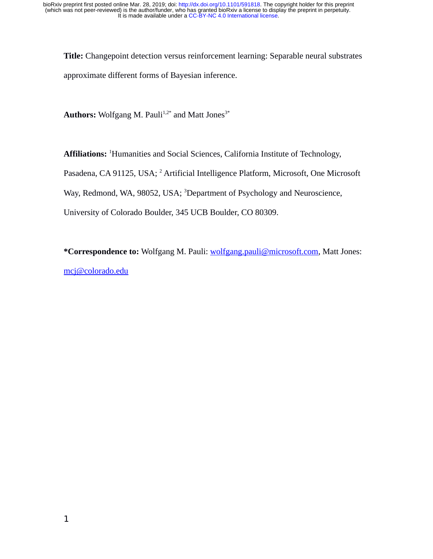**Title:** Changepoint detection versus reinforcement learning: Separable neural substrates approximate different forms of Bayesian inference.

Authors: Wolfgang M. Pauli<sup>1,2\*</sup> and Matt Jones<sup>3\*</sup>

**Affiliations:** <sup>1</sup>Humanities and Social Sciences, California Institute of Technology,

Pasadena, CA 91125, USA; <sup>2</sup> Artificial Intelligence Platform, Microsoft, One Microsoft

Way, Redmond, WA, 98052, USA; <sup>3</sup>Department of Psychology and Neuroscience,

University of Colorado Boulder, 345 UCB Boulder, CO 80309.

**\*Correspondence to:** Wolfgang M. Pauli: [wolfgang.pauli@microsoft.com,](mailto:wolfgang.pauli@microsoft.com) Matt Jones: [mcj@colorado.edu](mailto:mcj@colorado.edu)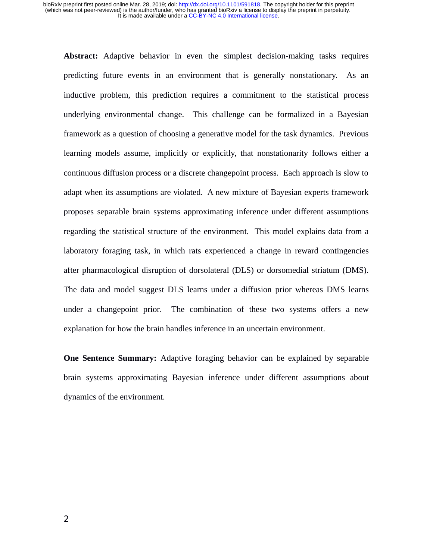**Abstract:** Adaptive behavior in even the simplest decision-making tasks requires predicting future events in an environment that is generally nonstationary. As an inductive problem, this prediction requires a commitment to the statistical process underlying environmental change. This challenge can be formalized in a Bayesian framework as a question of choosing a generative model for the task dynamics. Previous learning models assume, implicitly or explicitly, that nonstationarity follows either a continuous diffusion process or a discrete changepoint process. Each approach is slow to adapt when its assumptions are violated. A new mixture of Bayesian experts framework proposes separable brain systems approximating inference under different assumptions regarding the statistical structure of the environment. This model explains data from a laboratory foraging task, in which rats experienced a change in reward contingencies after pharmacological disruption of dorsolateral (DLS) or dorsomedial striatum (DMS). The data and model suggest DLS learns under a diffusion prior whereas DMS learns under a changepoint prior. The combination of these two systems offers a new explanation for how the brain handles inference in an uncertain environment.

**One Sentence Summary:** Adaptive foraging behavior can be explained by separable brain systems approximating Bayesian inference under different assumptions about dynamics of the environment.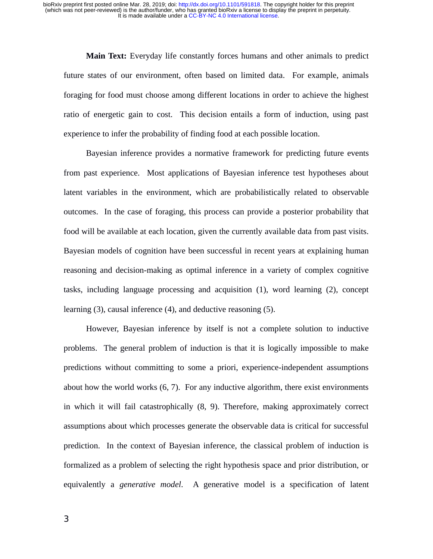**Main Text:** Everyday life constantly forces humans and other animals to predict future states of our environment, often based on limited data. For example, animals foraging for food must choose among different locations in order to achieve the highest ratio of energetic gain to cost. This decision entails a form of induction, using past experience to infer the probability of finding food at each possible location.

Bayesian inference provides a normative framework for predicting future events from past experience. Most applications of Bayesian inference test hypotheses about latent variables in the environment, which are probabilistically related to observable outcomes. In the case of foraging, this process can provide a posterior probability that food will be available at each location, given the currently available data from past visits. Bayesian models of cognition have been successful in recent years at explaining human reasoning and decision-making as optimal inference in a variety of complex cognitive tasks, including language processing and acquisition (1), word learning (2), concept learning (3), causal inference (4), and deductive reasoning (5).

However, Bayesian inference by itself is not a complete solution to inductive problems. The general problem of induction is that it is logically impossible to make predictions without committing to some a priori, experience-independent assumptions about how the world works (6, 7). For any inductive algorithm, there exist environments in which it will fail catastrophically (8, 9). Therefore, making approximately correct assumptions about which processes generate the observable data is critical for successful prediction. In the context of Bayesian inference, the classical problem of induction is formalized as a problem of selecting the right hypothesis space and prior distribution, or equivalently a *generative model*. A generative model is a specification of latent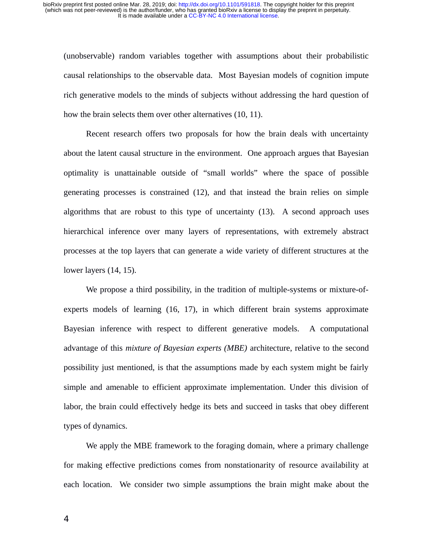(unobservable) random variables together with assumptions about their probabilistic causal relationships to the observable data. Most Bayesian models of cognition impute rich generative models to the minds of subjects without addressing the hard question of how the brain selects them over other alternatives (10, 11).

Recent research offers two proposals for how the brain deals with uncertainty about the latent causal structure in the environment. One approach argues that Bayesian optimality is unattainable outside of "small worlds" where the space of possible generating processes is constrained (12), and that instead the brain relies on simple algorithms that are robust to this type of uncertainty (13). A second approach uses hierarchical inference over many layers of representations, with extremely abstract processes at the top layers that can generate a wide variety of different structures at the lower layers (14, 15).

We propose a third possibility, in the tradition of multiple-systems or mixture-ofexperts models of learning (16, 17), in which different brain systems approximate Bayesian inference with respect to different generative models. A computational advantage of this *mixture of Bayesian experts (MBE)* architecture, relative to the second possibility just mentioned, is that the assumptions made by each system might be fairly simple and amenable to efficient approximate implementation. Under this division of labor, the brain could effectively hedge its bets and succeed in tasks that obey different types of dynamics.

We apply the MBE framework to the foraging domain, where a primary challenge for making effective predictions comes from nonstationarity of resource availability at each location. We consider two simple assumptions the brain might make about the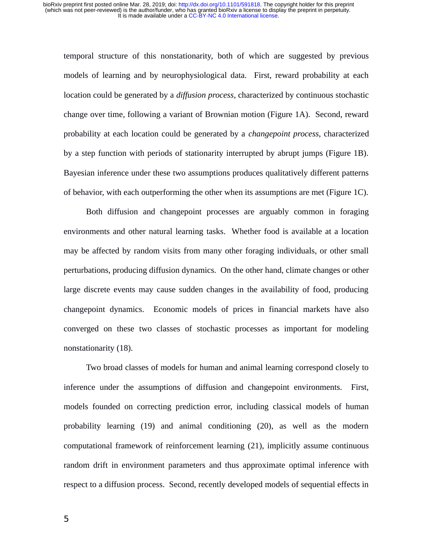temporal structure of this nonstationarity, both of which are suggested by previous models of learning and by neurophysiological data. First, reward probability at each location could be generated by a *diffusion process*, characterized by continuous stochastic change over time, following a variant of Brownian motion (Figure 1A). Second, reward probability at each location could be generated by a *changepoint process*, characterized by a step function with periods of stationarity interrupted by abrupt jumps (Figure 1B). Bayesian inference under these two assumptions produces qualitatively different patterns of behavior, with each outperforming the other when its assumptions are met (Figure 1C).

Both diffusion and changepoint processes are arguably common in foraging environments and other natural learning tasks. Whether food is available at a location may be affected by random visits from many other foraging individuals, or other small perturbations, producing diffusion dynamics. On the other hand, climate changes or other large discrete events may cause sudden changes in the availability of food, producing changepoint dynamics. Economic models of prices in financial markets have also converged on these two classes of stochastic processes as important for modeling nonstationarity (18).

Two broad classes of models for human and animal learning correspond closely to inference under the assumptions of diffusion and changepoint environments. First, models founded on correcting prediction error, including classical models of human probability learning (19) and animal conditioning (20), as well as the modern computational framework of reinforcement learning (21), implicitly assume continuous random drift in environment parameters and thus approximate optimal inference with respect to a diffusion process. Second, recently developed models of sequential effects in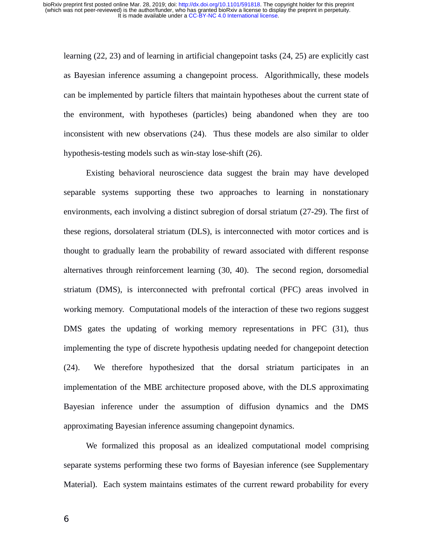learning (22, 23) and of learning in artificial changepoint tasks (24, 25) are explicitly cast as Bayesian inference assuming a changepoint process. Algorithmically, these models can be implemented by particle filters that maintain hypotheses about the current state of the environment, with hypotheses (particles) being abandoned when they are too inconsistent with new observations (24). Thus these models are also similar to older hypothesis-testing models such as win-stay lose-shift (26).

Existing behavioral neuroscience data suggest the brain may have developed separable systems supporting these two approaches to learning in nonstationary environments, each involving a distinct subregion of dorsal striatum (27-29). The first of these regions, dorsolateral striatum (DLS), is interconnected with motor cortices and is thought to gradually learn the probability of reward associated with different response alternatives through reinforcement learning (30, 40). The second region, dorsomedial striatum (DMS), is interconnected with prefrontal cortical (PFC) areas involved in working memory. Computational models of the interaction of these two regions suggest DMS gates the updating of working memory representations in PFC (31), thus implementing the type of discrete hypothesis updating needed for changepoint detection (24). We therefore hypothesized that the dorsal striatum participates in an implementation of the MBE architecture proposed above, with the DLS approximating Bayesian inference under the assumption of diffusion dynamics and the DMS approximating Bayesian inference assuming changepoint dynamics.

We formalized this proposal as an idealized computational model comprising separate systems performing these two forms of Bayesian inference (see Supplementary Material). Each system maintains estimates of the current reward probability for every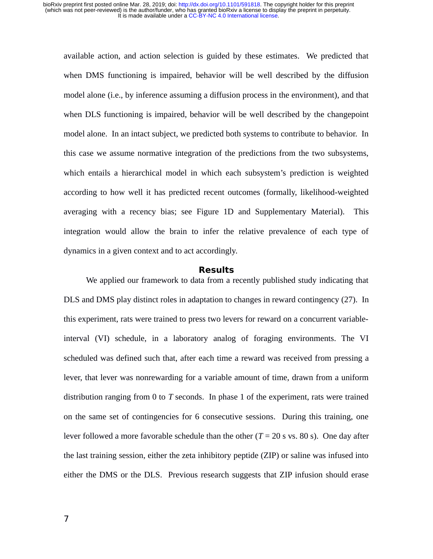available action, and action selection is guided by these estimates. We predicted that when DMS functioning is impaired, behavior will be well described by the diffusion model alone (i.e., by inference assuming a diffusion process in the environment), and that when DLS functioning is impaired, behavior will be well described by the changepoint model alone. In an intact subject, we predicted both systems to contribute to behavior. In this case we assume normative integration of the predictions from the two subsystems, which entails a hierarchical model in which each subsystem's prediction is weighted according to how well it has predicted recent outcomes (formally, likelihood-weighted averaging with a recency bias; see Figure 1D and Supplementary Material). This integration would allow the brain to infer the relative prevalence of each type of dynamics in a given context and to act accordingly.

#### **Results**

We applied our framework to data from a recently published study indicating that DLS and DMS play distinct roles in adaptation to changes in reward contingency (27). In this experiment, rats were trained to press two levers for reward on a concurrent variableinterval (VI) schedule, in a laboratory analog of foraging environments. The VI scheduled was defined such that, after each time a reward was received from pressing a lever, that lever was nonrewarding for a variable amount of time, drawn from a uniform distribution ranging from 0 to *T* seconds. In phase 1 of the experiment, rats were trained on the same set of contingencies for 6 consecutive sessions. During this training, one lever followed a more favorable schedule than the other  $(T = 20 \text{ s} \text{ vs. } 80 \text{ s})$ . One day after the last training session, either the zeta inhibitory peptide (ZIP) or saline was infused into either the DMS or the DLS. Previous research suggests that ZIP infusion should erase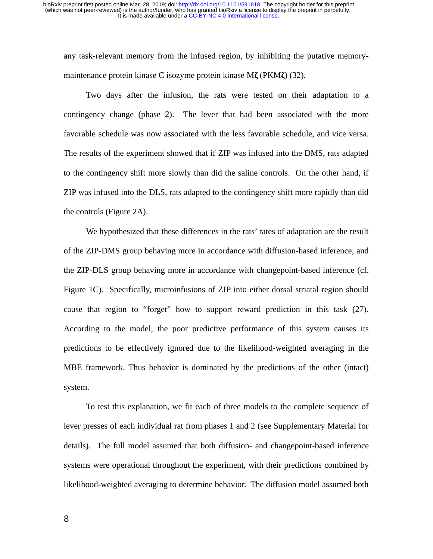any task-relevant memory from the infused region, by inhibiting the putative memorymaintenance protein kinase C isozyme protein kinase M**ζ** (PKM**ζ**) (32).

Two days after the infusion, the rats were tested on their adaptation to a contingency change (phase 2). The lever that had been associated with the more favorable schedule was now associated with the less favorable schedule, and vice versa. The results of the experiment showed that if ZIP was infused into the DMS, rats adapted to the contingency shift more slowly than did the saline controls. On the other hand, if ZIP was infused into the DLS, rats adapted to the contingency shift more rapidly than did the controls (Figure 2A).

We hypothesized that these differences in the rats' rates of adaptation are the result of the ZIP-DMS group behaving more in accordance with diffusion-based inference, and the ZIP-DLS group behaving more in accordance with changepoint-based inference (cf. Figure 1C). Specifically, microinfusions of ZIP into either dorsal striatal region should cause that region to "forget" how to support reward prediction in this task (27). According to the model, the poor predictive performance of this system causes its predictions to be effectively ignored due to the likelihood-weighted averaging in the MBE framework. Thus behavior is dominated by the predictions of the other (intact) system.

To test this explanation, we fit each of three models to the complete sequence of lever presses of each individual rat from phases 1 and 2 (see Supplementary Material for details). The full model assumed that both diffusion- and changepoint-based inference systems were operational throughout the experiment, with their predictions combined by likelihood-weighted averaging to determine behavior. The diffusion model assumed both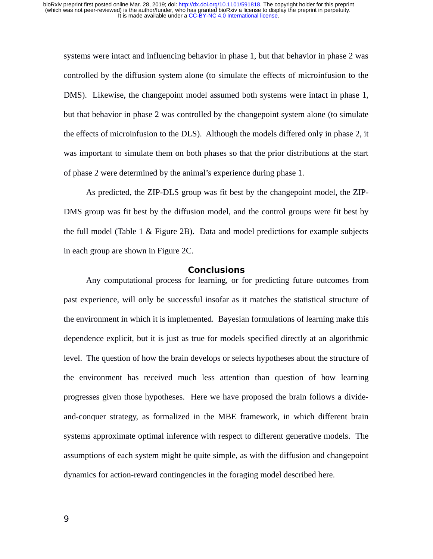systems were intact and influencing behavior in phase 1, but that behavior in phase 2 was controlled by the diffusion system alone (to simulate the effects of microinfusion to the DMS). Likewise, the changepoint model assumed both systems were intact in phase 1, but that behavior in phase 2 was controlled by the changepoint system alone (to simulate the effects of microinfusion to the DLS). Although the models differed only in phase 2, it was important to simulate them on both phases so that the prior distributions at the start of phase 2 were determined by the animal's experience during phase 1.

As predicted, the ZIP-DLS group was fit best by the changepoint model, the ZIP-DMS group was fit best by the diffusion model, and the control groups were fit best by the full model (Table 1 & Figure 2B). Data and model predictions for example subjects in each group are shown in Figure 2C.

## **Conclusions**

Any computational process for learning, or for predicting future outcomes from past experience, will only be successful insofar as it matches the statistical structure of the environment in which it is implemented. Bayesian formulations of learning make this dependence explicit, but it is just as true for models specified directly at an algorithmic level. The question of how the brain develops or selects hypotheses about the structure of the environment has received much less attention than question of how learning progresses given those hypotheses. Here we have proposed the brain follows a divideand-conquer strategy, as formalized in the MBE framework, in which different brain systems approximate optimal inference with respect to different generative models. The assumptions of each system might be quite simple, as with the diffusion and changepoint dynamics for action-reward contingencies in the foraging model described here.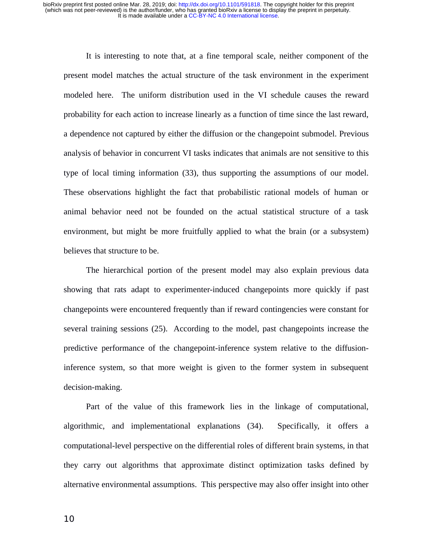It is interesting to note that, at a fine temporal scale, neither component of the present model matches the actual structure of the task environment in the experiment modeled here. The uniform distribution used in the VI schedule causes the reward probability for each action to increase linearly as a function of time since the last reward, a dependence not captured by either the diffusion or the changepoint submodel. Previous analysis of behavior in concurrent VI tasks indicates that animals are not sensitive to this type of local timing information (33), thus supporting the assumptions of our model. These observations highlight the fact that probabilistic rational models of human or animal behavior need not be founded on the actual statistical structure of a task environment, but might be more fruitfully applied to what the brain (or a subsystem) believes that structure to be.

The hierarchical portion of the present model may also explain previous data showing that rats adapt to experimenter-induced changepoints more quickly if past changepoints were encountered frequently than if reward contingencies were constant for several training sessions (25). According to the model, past changepoints increase the predictive performance of the changepoint-inference system relative to the diffusioninference system, so that more weight is given to the former system in subsequent decision-making.

Part of the value of this framework lies in the linkage of computational, algorithmic, and implementational explanations (34). Specifically, it offers a computational-level perspective on the differential roles of different brain systems, in that they carry out algorithms that approximate distinct optimization tasks defined by alternative environmental assumptions. This perspective may also offer insight into other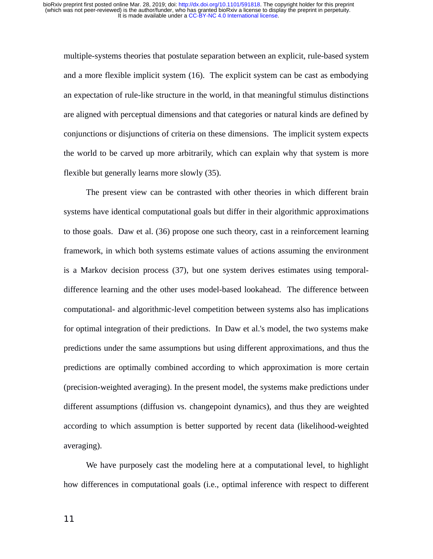multiple-systems theories that postulate separation between an explicit, rule-based system and a more flexible implicit system (16). The explicit system can be cast as embodying an expectation of rule-like structure in the world, in that meaningful stimulus distinctions are aligned with perceptual dimensions and that categories or natural kinds are defined by conjunctions or disjunctions of criteria on these dimensions. The implicit system expects the world to be carved up more arbitrarily, which can explain why that system is more flexible but generally learns more slowly (35).

The present view can be contrasted with other theories in which different brain systems have identical computational goals but differ in their algorithmic approximations to those goals. Daw et al. (36) propose one such theory, cast in a reinforcement learning framework, in which both systems estimate values of actions assuming the environment is a Markov decision process (37), but one system derives estimates using temporaldifference learning and the other uses model-based lookahead. The difference between computational- and algorithmic-level competition between systems also has implications for optimal integration of their predictions. In Daw et al.'s model, the two systems make predictions under the same assumptions but using different approximations, and thus the predictions are optimally combined according to which approximation is more certain (precision-weighted averaging). In the present model, the systems make predictions under different assumptions (diffusion vs. changepoint dynamics), and thus they are weighted according to which assumption is better supported by recent data (likelihood-weighted averaging).

We have purposely cast the modeling here at a computational level, to highlight how differences in computational goals (i.e., optimal inference with respect to different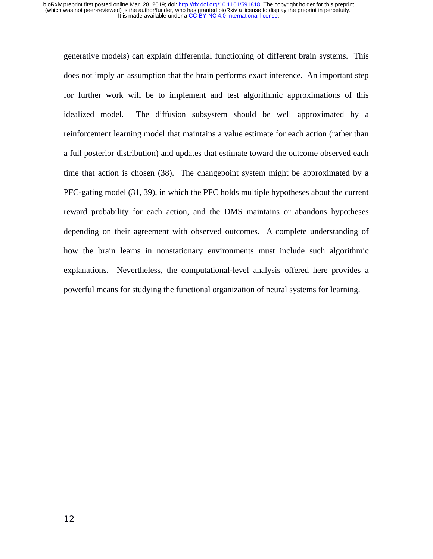generative models) can explain differential functioning of different brain systems. This does not imply an assumption that the brain performs exact inference. An important step for further work will be to implement and test algorithmic approximations of this idealized model. The diffusion subsystem should be well approximated by a reinforcement learning model that maintains a value estimate for each action (rather than a full posterior distribution) and updates that estimate toward the outcome observed each time that action is chosen (38). The changepoint system might be approximated by a PFC-gating model (31, 39), in which the PFC holds multiple hypotheses about the current reward probability for each action, and the DMS maintains or abandons hypotheses depending on their agreement with observed outcomes. A complete understanding of how the brain learns in nonstationary environments must include such algorithmic explanations. Nevertheless, the computational-level analysis offered here provides a powerful means for studying the functional organization of neural systems for learning.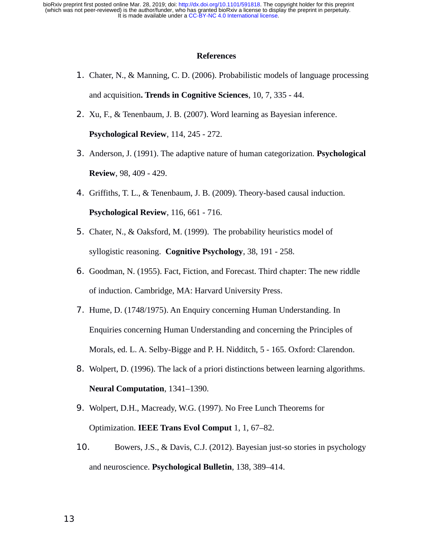It is made available under a [CC-BY-NC 4.0 International license.](http://creativecommons.org/licenses/by-nc/4.0/) (which was not peer-reviewed) is the author/funder, who has granted bioRxiv a license to display the preprint in perpetuity. bioRxiv preprint first posted online Mar. 28, 2019; doi: [http://dx.doi.org/10.1101/591818.](http://dx.doi.org/10.1101/591818) The copyright holder for this preprint

## **References**

- 1. Chater, N., & Manning, C. D. (2006). Probabilistic models of language processing and acquisition**. Trends in Cognitive Sciences**, 10, 7, 335 - 44.
- 2. Xu, F., & Tenenbaum, J. B. (2007). Word learning as Bayesian inference.

**Psychological Review**, 114, 245 - 272.

- 3. Anderson, J. (1991). The adaptive nature of human categorization. **Psychological Review**, 98, 409 - 429.
- 4. Griffiths, T. L., & Tenenbaum, J. B. (2009). Theory-based causal induction. **Psychological Review**, 116, 661 - 716.
- 5. Chater, N., & Oaksford, M. (1999). The probability heuristics model of syllogistic reasoning. **Cognitive Psychology**, 38, 191 - 258.
- 6. Goodman, N. (1955). Fact, Fiction, and Forecast. Third chapter: The new riddle of induction. Cambridge, MA: Harvard University Press.
- 7. Hume, D. (1748/1975). An Enquiry concerning Human Understanding. In Enquiries concerning Human Understanding and concerning the Principles of Morals, ed. L. A. Selby-Bigge and P. H. Nidditch, 5 - 165. Oxford: Clarendon.
- 8. Wolpert, D. (1996). The lack of a priori distinctions between learning algorithms. **Neural Computation**, 1341–1390.
- 9. Wolpert, D.H., Macready, W.G. (1997). No Free Lunch Theorems for Optimization. **IEEE Trans Evol Comput** 1, 1, 67–82.
- 10. Bowers, J.S., & Davis, C.J. (2012). Bayesian just-so stories in psychology and neuroscience. **Psychological Bulletin**, 138, 389–414.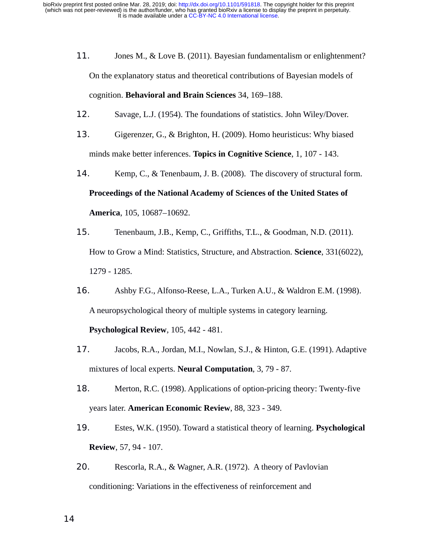- 11. Jones M., & Love B. (2011). Bayesian fundamentalism or enlightenment? On the explanatory status and theoretical contributions of Bayesian models of cognition. **Behavioral and Brain Sciences** 34, 169–188.
- 12. Savage, L.J. (1954). The foundations of statistics. John Wiley/Dover.
- 13. Gigerenzer, G., & Brighton, H. (2009). Homo heuristicus: Why biased minds make better inferences. **Topics in Cognitive Science**, 1, 107 - 143.
- 14. Kemp, C., & Tenenbaum, J. B. (2008). The discovery of structural form. **Proceedings of the National Academy of Sciences of the United States of America**, 105, 10687–10692.
- 15. Tenenbaum, J.B., Kemp, C., Griffiths, T.L., & Goodman, N.D. (2011). How to Grow a Mind: Statistics, Structure, and Abstraction. **Science**, 331(6022), 1279 - 1285.
- 16. Ashby F.G., Alfonso-Reese, L.A., Turken A.U., & Waldron E.M. (1998). A neuropsychological theory of multiple systems in category learning.

**Psychological Review**, 105, 442 - 481.

- 17. Jacobs, R.A., Jordan, M.I., Nowlan, S.J., & Hinton, G.E. (1991). Adaptive mixtures of local experts. **Neural Computation**, 3, 79 - 87.
- 18. Merton, R.C. (1998). Applications of option-pricing theory: Twenty-five years later. **American Economic Review**, 88, 323 - 349.
- 19. Estes, W.K. (1950). Toward a statistical theory of learning. **Psychological Review**, 57, 94 - 107.
- 20. Rescorla, R.A., & Wagner, A.R. (1972). A theory of Pavlovian conditioning: Variations in the effectiveness of reinforcement and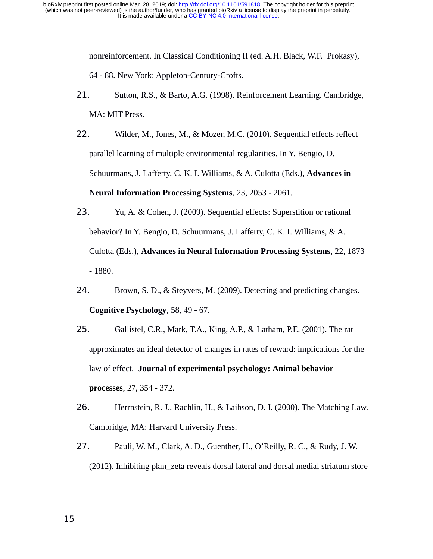> nonreinforcement. In Classical Conditioning II (ed. A.H. Black, W.F. Prokasy), 64 - 88. New York: Appleton-Century-Crofts.

- 21. Sutton, R.S., & Barto, A.G. (1998). Reinforcement Learning. Cambridge, MA: MIT Press.
- 22. Wilder, M., Jones, M., & Mozer, M.C. (2010). Sequential effects reflect parallel learning of multiple environmental regularities. In Y. Bengio, D. Schuurmans, J. Lafferty, C. K. I. Williams, & A. Culotta (Eds.), **Advances in Neural Information Processing Systems**, 23, 2053 - 2061.
- 23. Yu, A. & Cohen, J. (2009). Sequential effects: Superstition or rational behavior? In Y. Bengio, D. Schuurmans, J. Lafferty, C. K. I. Williams, & A. Culotta (Eds.), **Advances in Neural Information Processing Systems**, 22, 1873 - 1880.
- 24. Brown, S. D., & Steyvers, M. (2009). Detecting and predicting changes. **Cognitive Psychology**, 58, 49 - 67.
- 25. Gallistel, C.R., Mark, T.A., King, A.P., & Latham, P.E. (2001). The rat approximates an ideal detector of changes in rates of reward: implications for the law of effect. **Journal of experimental psychology: Animal behavior processes**, 27, 354 - 372.
- 26. Herrnstein, R. J., Rachlin, H., & Laibson, D. I. (2000). The Matching Law. Cambridge, MA: Harvard University Press.
- 27. Pauli, W. M., Clark, A. D., Guenther, H., O'Reilly, R. C., & Rudy, J. W. (2012). Inhibiting pkm\_zeta reveals dorsal lateral and dorsal medial striatum store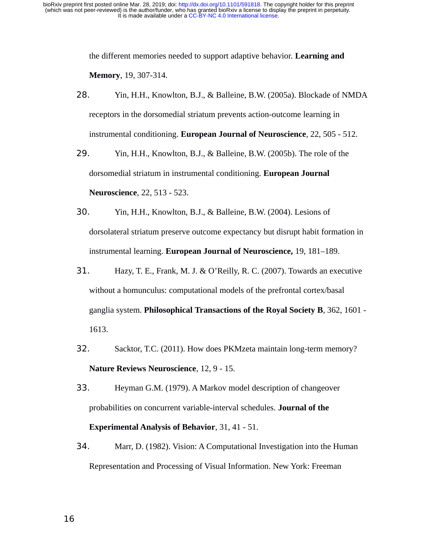> the different memories needed to support adaptive behavior. **Learning and Memory**, 19, 307-314.

- 28. Yin, H.H., Knowlton, B.J., & Balleine, B.W. (2005a). Blockade of NMDA receptors in the dorsomedial striatum prevents action-outcome learning in instrumental conditioning. **European Journal of Neuroscience**, 22, 505 - 512.
- 29. Yin, H.H., Knowlton, B.J., & Balleine, B.W. (2005b). The role of the dorsomedial striatum in instrumental conditioning. **European Journal Neuroscience**, 22, 513 - 523.
- 30. Yin, H.H., Knowlton, B.J., & Balleine, B.W. (2004). Lesions of dorsolateral striatum preserve outcome expectancy but disrupt habit formation in instrumental learning. **European Journal of Neuroscience,** 19, 181–189.
- 31. Hazy, T. E., Frank, M. J. & O'Reilly, R. C. (2007). Towards an executive without a homunculus: computational models of the prefrontal cortex/basal ganglia system. **Philosophical Transactions of the Royal Society B**, 362, 1601 - 1613.
- 32. Sacktor, T.C. (2011). How does PKMzeta maintain long-term memory? **Nature Reviews Neuroscience**, 12, 9 - 15.
- 33. Heyman G.M. (1979). A Markov model description of changeover probabilities on concurrent variable-interval schedules. **Journal of the Experimental Analysis of Behavior**, 31, 41 - 51.
- 34. Marr, D. (1982). Vision: A Computational Investigation into the Human Representation and Processing of Visual Information. New York: Freeman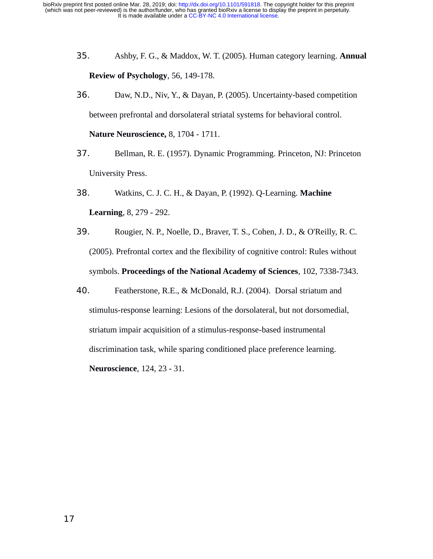- 35. Ashby, F. G., & Maddox, W. T. (2005). Human category learning. **Annual Review of Psychology**, 56, 149-178.
- 36. Daw, N.D., Niv, Y., & Dayan, P. (2005). Uncertainty-based competition between prefrontal and dorsolateral striatal systems for behavioral control.

**Nature Neuroscience,** 8, 1704 - 1711.

- 37. Bellman, R. E. (1957). Dynamic Programming. Princeton, NJ: Princeton University Press.
- 38. Watkins, C. J. C. H., & Dayan, P. (1992). Q-Learning. **Machine Learning**, 8, 279 - 292.
- 39. Rougier, N. P., Noelle, D., Braver, T. S., Cohen, J. D., & O'Reilly, R. C. (2005). Prefrontal cortex and the flexibility of cognitive control: Rules without symbols. **Proceedings of the National Academy of Sciences**, 102, 7338-7343.
- 40. Featherstone, R.E., & McDonald, R.J. (2004). Dorsal striatum and stimulus-response learning: Lesions of the dorsolateral, but not dorsomedial, striatum impair acquisition of a stimulus-response-based instrumental discrimination task, while sparing conditioned place preference learning. **Neuroscience**, 124, 23 - 31.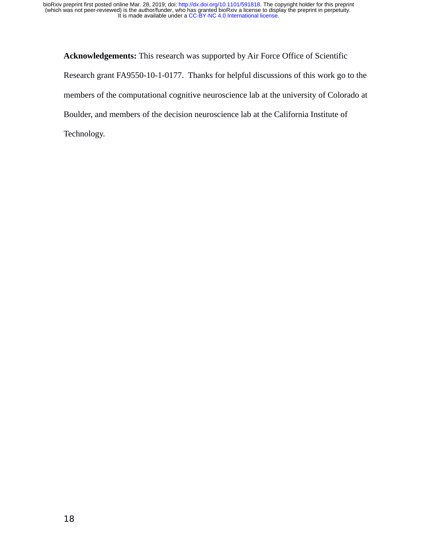**Acknowledgements:** This research was supported by Air Force Office of Scientific Research grant FA9550-10-1-0177. Thanks for helpful discussions of this work go to the members of the computational cognitive neuroscience lab at the university of Colorado at Boulder, and members of the decision neuroscience lab at the California Institute of Technology.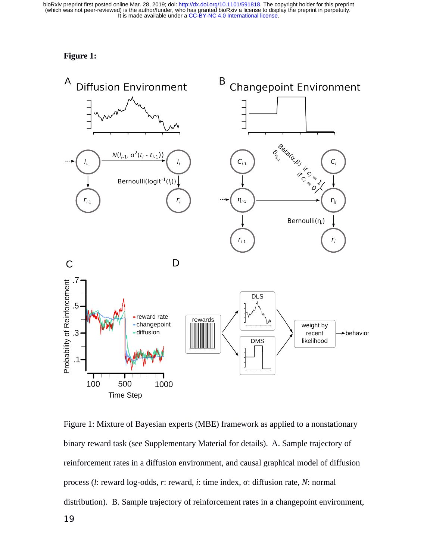# **Figure 1:**



Figure 1: Mixture of Bayesian experts (MBE) framework as applied to a nonstationary binary reward task (see Supplementary Material for details). A. Sample trajectory of reinforcement rates in a diffusion environment, and causal graphical model of diffusion process (*l*: reward log-odds, *r*: reward, *i*: time index, σ: diffusion rate, *N*: normal distribution). B. Sample trajectory of reinforcement rates in a changepoint environment,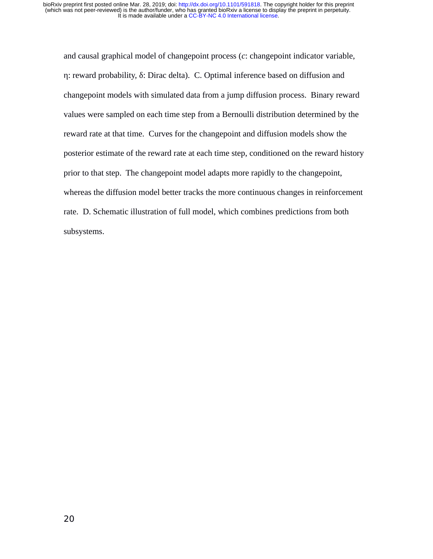and causal graphical model of changepoint process (*c*: changepoint indicator variable, η: reward probability, δ: Dirac delta). C. Optimal inference based on diffusion and changepoint models with simulated data from a jump diffusion process. Binary reward values were sampled on each time step from a Bernoulli distribution determined by the reward rate at that time. Curves for the changepoint and diffusion models show the posterior estimate of the reward rate at each time step, conditioned on the reward history prior to that step. The changepoint model adapts more rapidly to the changepoint, whereas the diffusion model better tracks the more continuous changes in reinforcement rate. D. Schematic illustration of full model, which combines predictions from both subsystems.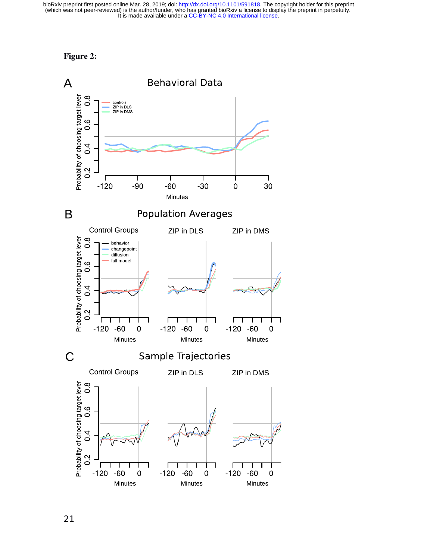

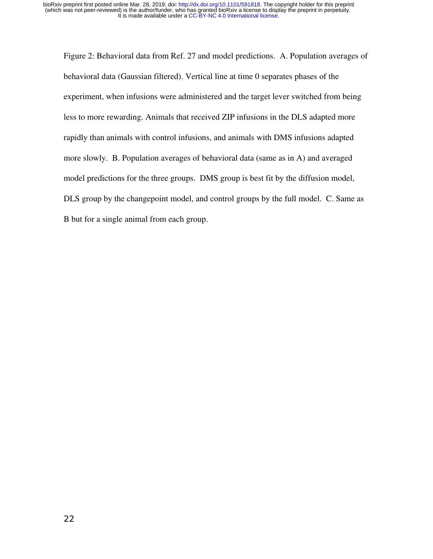Figure 2: Behavioral data from Ref. 27 and model predictions. A. Population averages of behavioral data (Gaussian filtered). Vertical line at time 0 separates phases of the experiment, when infusions were administered and the target lever switched from being less to more rewarding. Animals that received ZIP infusions in the DLS adapted more rapidly than animals with control infusions, and animals with DMS infusions adapted more slowly. B. Population averages of behavioral data (same as in A) and averaged model predictions for the three groups. DMS group is best fit by the diffusion model, DLS group by the changepoint model, and control groups by the full model. C. Same as B but for a single animal from each group.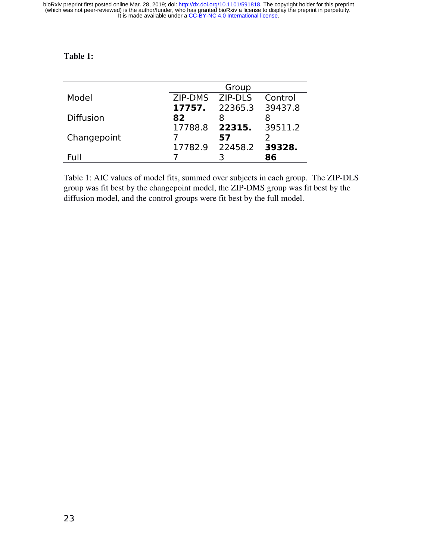# Table 1:

|                  |         | Group   |         |
|------------------|---------|---------|---------|
| Model            | ZIP-DMS | ZIP-DLS | Control |
|                  | 17757.  | 22365.3 | 39437.8 |
| <b>Diffusion</b> | 82      | 8       |         |
|                  | 17788.8 | 22315.  | 39511.2 |
| Changepoint      |         | 57      |         |
|                  | 17782.9 | 22458.2 | 39328.  |
| Full             |         |         | 8ĥ      |

Table 1: AIC values of model fits, summed over subjects in each group. The ZIP-DLS group was fit best by the changepoint model, the ZIP-DMS group was fit best by the diffusion model, and the control groups were fit best by the full model.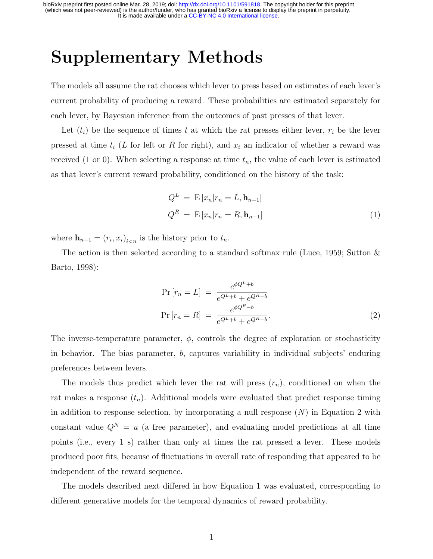It is made available under a [CC-BY-NC 4.0 International license.](http://creativecommons.org/licenses/by-nc/4.0/) (which was not peer-reviewed) is the author/funder, who has granted bioRxiv a license to display the preprint in perpetuity. bioRxiv preprint first posted online Mar. 28, 2019; doi: [http://dx.doi.org/10.1101/591818.](http://dx.doi.org/10.1101/591818) The copyright holder for this preprint

# Supplementary Methods

The models all assume the rat chooses which lever to press based on estimates of each lever's current probability of producing a reward. These probabilities are estimated separately for each lever, by Bayesian inference from the outcomes of past presses of that lever.

Let  $(t_i)$  be the sequence of times t at which the rat presses either lever,  $r_i$  be the lever pressed at time  $t_i$  (L for left or R for right), and  $x_i$  an indicator of whether a reward was received (1 or 0). When selecting a response at time  $t_n$ , the value of each lever is estimated as that lever's current reward probability, conditioned on the history of the task:

$$
Q^{L} = \mathbf{E}\left[x_{n}|r_{n} = L, \mathbf{h}_{n-1}\right]
$$
  
\n
$$
Q^{R} = \mathbf{E}\left[x_{n}|r_{n} = R, \mathbf{h}_{n-1}\right]
$$
\n(1)

where  $\mathbf{h}_{n-1} = (r_i, x_i)_{i \leq n}$  is the history prior to  $t_n$ .

The action is then selected according to a standard softmax rule (Luce, 1959; Sutton  $\&$ Barto, 1998):

$$
Pr[r_n = L] = \frac{e^{\phi Q^L + b}}{e^{Q^L + b} + e^{Q^R - b}}
$$

$$
Pr[r_n = R] = \frac{e^{\phi Q^R - b}}{e^{Q^L + b} + e^{Q^R - b}}.
$$
(2)

The inverse-temperature parameter,  $\phi$ , controls the degree of exploration or stochasticity in behavior. The bias parameter, b, captures variability in individual subjects' enduring preferences between levers.

The models thus predict which lever the rat will press  $(r_n)$ , conditioned on when the rat makes a response  $(t_n)$ . Additional models were evaluated that predict response timing in addition to response selection, by incorporating a null response  $(N)$  in Equation 2 with constant value  $Q^N = u$  (a free parameter), and evaluating model predictions at all time points (i.e., every 1 s) rather than only at times the rat pressed a lever. These models produced poor fits, because of fluctuations in overall rate of responding that appeared to be independent of the reward sequence.

The models described next differed in how Equation 1 was evaluated, corresponding to different generative models for the temporal dynamics of reward probability.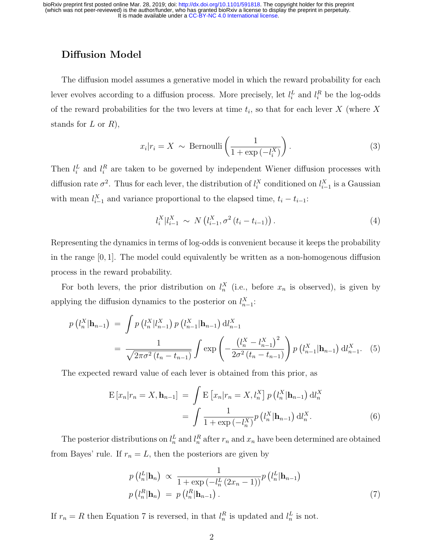# Diffusion Model

The diffusion model assumes a generative model in which the reward probability for each lever evolves according to a diffusion process. More precisely, let  $l_i^L$  and  $l_i^R$  be the log-odds of the reward probabilities for the two levers at time  $t_i$ , so that for each lever X (where X stands for  $L$  or  $R$ ),

$$
x_i|r_i = X \sim \text{Bernoulli}\left(\frac{1}{1 + \exp\left(-l_i^X\right)}\right). \tag{3}
$$

Then  $l_i^L$  and  $l_i^R$  are taken to be governed by independent Wiener diffusion processes with diffusion rate  $\sigma^2$ . Thus for each lever, the distribution of  $l_i^X$  conditioned on  $l_{i-1}^X$  is a Gaussian with mean  $l_{i-1}^X$  and variance proportional to the elapsed time,  $t_i - t_{i-1}$ :

$$
l_i^X | l_{i-1}^X \sim N(l_{i-1}^X, \sigma^2(t_i - t_{i-1})). \tag{4}
$$

Representing the dynamics in terms of log-odds is convenient because it keeps the probability in the range [0, 1]. The model could equivalently be written as a non-homogenous diffusion process in the reward probability.

For both levers, the prior distribution on  $l_n^X$  (i.e., before  $x_n$  is observed), is given by applying the diffusion dynamics to the posterior on  $l_{n-1}^X$ :

$$
p(l_n^X|\mathbf{h}_{n-1}) = \int p(l_n^X|l_{n-1}^X) p(l_{n-1}^X|\mathbf{h}_{n-1}) dl_{n-1}^X
$$
  
= 
$$
\frac{1}{\sqrt{2\pi\sigma^2(t_n - t_{n-1})}} \int \exp\left(-\frac{(l_n^X - l_{n-1}^X)^2}{2\sigma^2(t_n - t_{n-1})}\right) p(l_{n-1}^X|\mathbf{h}_{n-1}) dl_{n-1}^X. (5)
$$

The expected reward value of each lever is obtained from this prior, as

$$
\mathcal{E}\left[x_n|r_n = X, \mathbf{h}_{n-1}\right] = \int \mathcal{E}\left[x_n|r_n = X, l_n^X\right] p\left(l_n^X|\mathbf{h}_{n-1}\right) \mathrm{d}l_n^X
$$
\n
$$
= \int \frac{1}{1 + \exp\left(-l_n^X\right)} p\left(l_n^X|\mathbf{h}_{n-1}\right) \mathrm{d}l_n^X. \tag{6}
$$

The posterior distributions on  $l_n^L$  and  $l_n^R$  after  $r_n$  and  $x_n$  have been determined are obtained from Bayes' rule. If  $r_n = L$ , then the posteriors are given by

$$
p(l_n^L|\mathbf{h}_n) \propto \frac{1}{1 + \exp\left(-l_n^L(2x_n - 1)\right)} p(l_n^L|\mathbf{h}_{n-1})
$$
  

$$
p(l_n^R|\mathbf{h}_n) = p(l_n^R|\mathbf{h}_{n-1}).
$$
 (7)

If  $r_n = R$  then Equation 7 is reversed, in that  $l_n^R$  is updated and  $l_n^L$  is not.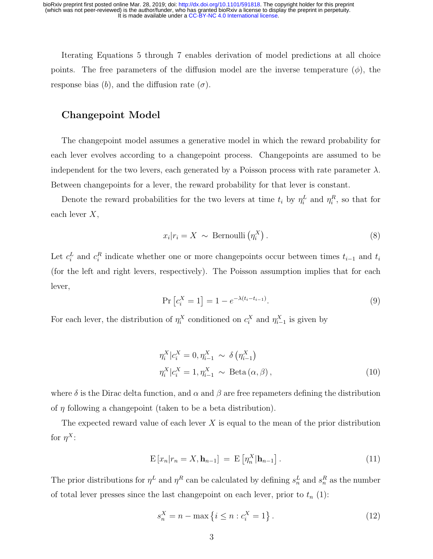Iterating Equations 5 through 7 enables derivation of model predictions at all choice points. The free parameters of the diffusion model are the inverse temperature  $(\phi)$ , the response bias (b), and the diffusion rate  $(\sigma)$ .

# Changepoint Model

The changepoint model assumes a generative model in which the reward probability for each lever evolves according to a changepoint process. Changepoints are assumed to be independent for the two levers, each generated by a Poisson process with rate parameter  $\lambda$ . Between changepoints for a lever, the reward probability for that lever is constant.

Denote the reward probabilities for the two levers at time  $t_i$  by  $\eta_i^L$  and  $\eta_i^R$ , so that for each lever X,

$$
x_i|r_i = X \sim \text{Bernoulli}\left(\eta_i^X\right). \tag{8}
$$

Let  $c_i^L$  and  $c_i^R$  indicate whether one or more changepoints occur between times  $t_{i-1}$  and  $t_i$ (for the left and right levers, respectively). The Poisson assumption implies that for each lever,

$$
\Pr\left[c_i^X = 1\right] = 1 - e^{-\lambda(t_i - t_{i-1})}.
$$
\n(9)

For each lever, the distribution of  $\eta_i^X$  conditioned on  $c_i^X$  and  $\eta_{i-1}^X$  is given by

$$
\eta_i^X | c_i^X = 0, \eta_{i-1}^X \sim \delta \left( \eta_{i-1}^X \right)
$$
  

$$
\eta_i^X | c_i^X = 1, \eta_{i-1}^X \sim \text{Beta} \left( \alpha, \beta \right), \tag{10}
$$

where  $\delta$  is the Dirac delta function, and  $\alpha$  and  $\beta$  are free repameters defining the distribution of  $\eta$  following a changepoint (taken to be a beta distribution).

The expected reward value of each lever  $X$  is equal to the mean of the prior distribution for  $\eta^X$ :

$$
\mathbf{E}\left[x_n|r_n=X,\mathbf{h}_{n-1}\right] = \mathbf{E}\left[\eta_n^X|\mathbf{h}_{n-1}\right].\tag{11}
$$

The prior distributions for  $\eta^L$  and  $\eta^R$  can be calculated by defining  $s_n^L$  and  $s_n^R$  as the number of total lever presses since the last changepoint on each lever, prior to  $t_n$  (1):

$$
s_n^X = n - \max\left\{i \le n : c_i^X = 1\right\}.
$$
 (12)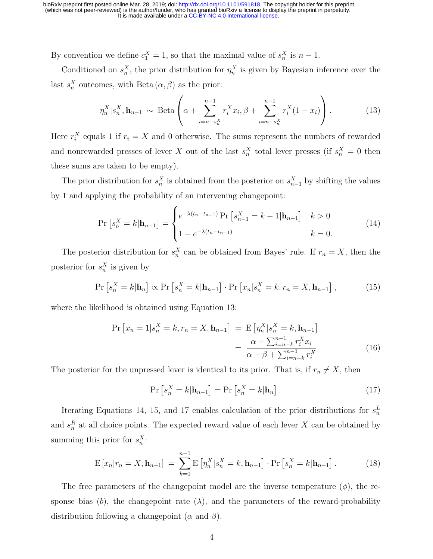By convention we define  $c_1^X = 1$ , so that the maximal value of  $s_n^X$  is  $n-1$ .

Conditioned on  $s_n^X$ , the prior distribution for  $\eta_n^X$  is given by Bayesian inference over the last  $s_n^X$  outcomes, with Beta  $(\alpha, \beta)$  as the prior:

$$
\eta_n^X | s_n^X, \mathbf{h}_{n-1} \sim \text{Beta}\left(\alpha + \sum_{i=n-s_n^X}^{n-1} r_i^X x_i, \beta + \sum_{i=n-s_n^X}^{n-1} r_i^X (1 - x_i)\right). \tag{13}
$$

Here  $r_i^X$  equals 1 if  $r_i = X$  and 0 otherwise. The sums represent the numbers of rewarded and nonrewarded presses of lever X out of the last  $s_n^X$  total lever presses (if  $s_n^X = 0$  then these sums are taken to be empty).

The prior distribution for  $s_n^X$  is obtained from the posterior on  $s_{n-1}^X$  by shifting the values by 1 and applying the probability of an intervening changepoint:

$$
\Pr\left[s_n^X = k | \mathbf{h}_{n-1}\right] = \begin{cases} e^{-\lambda(t_n - t_{n-1})} \Pr\left[s_{n-1}^X = k - 1 | \mathbf{h}_{n-1}\right] & k > 0 \\ 1 - e^{-\lambda(t_n - t_{n-1})} & k = 0. \end{cases} \tag{14}
$$

The posterior distribution for  $s_n^X$  can be obtained from Bayes' rule. If  $r_n = X$ , then the posterior for  $s_n^X$  is given by

$$
\Pr\left[s_n^X = k|\mathbf{h}_n\right] \propto \Pr\left[s_n^X = k|\mathbf{h}_{n-1}\right] \cdot \Pr\left[x_n|s_n^X = k, r_n = X, \mathbf{h}_{n-1}\right],\tag{15}
$$

where the likelihood is obtained using Equation 13:

$$
\Pr\left[x_n = 1 | s_n^X = k, r_n = X, \mathbf{h}_{n-1}\right] = \mathbb{E}\left[\eta_n^X | s_n^X = k, \mathbf{h}_{n-1}\right] \\
= \frac{\alpha + \sum_{i=n-k}^{n-1} r_i^X x_i}{\alpha + \beta + \sum_{i=n-k}^{n-1} r_i^X}.\n\tag{16}
$$

The posterior for the unpressed lever is identical to its prior. That is, if  $r_n \neq X$ , then

$$
\Pr\left[s_n^X = k|\mathbf{h}_{n-1}\right] = \Pr\left[s_n^X = k|\mathbf{h}_n\right].\tag{17}
$$

Iterating Equations 14, 15, and 17 enables calculation of the prior distributions for  $s_n^L$ and  $s_n^R$  at all choice points. The expected reward value of each lever X can be obtained by summing this prior for  $s_n^X$ :

$$
E[x_n|r_n = X, \mathbf{h}_{n-1}] = \sum_{k=0}^{n-1} E[\eta_n^X|s_n^X = k, \mathbf{h}_{n-1}] \cdot Pr[s_n^X = k | \mathbf{h}_{n-1}]. \tag{18}
$$

The free parameters of the changepoint model are the inverse temperature  $(\phi)$ , the response bias (b), the changepoint rate  $(\lambda)$ , and the parameters of the reward-probability distribution following a changepoint  $(\alpha \text{ and } \beta)$ .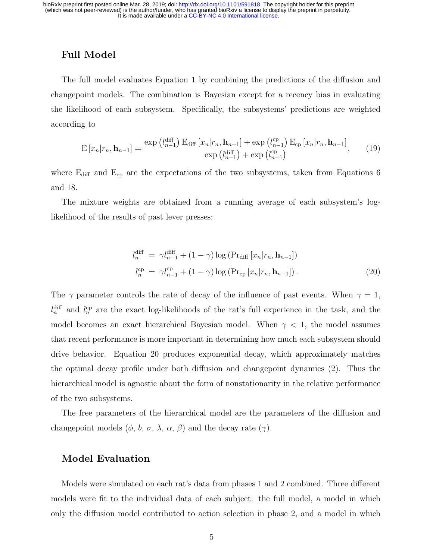It is made available under a [CC-BY-NC 4.0 International license.](http://creativecommons.org/licenses/by-nc/4.0/) (which was not peer-reviewed) is the author/funder, who has granted bioRxiv a license to display the preprint in perpetuity. bioRxiv preprint first posted online Mar. 28, 2019; doi: [http://dx.doi.org/10.1101/591818.](http://dx.doi.org/10.1101/591818) The copyright holder for this preprint

## Full Model

The full model evaluates Equation 1 by combining the predictions of the diffusion and changepoint models. The combination is Bayesian except for a recency bias in evaluating the likelihood of each subsystem. Specifically, the subsystems' predictions are weighted according to

$$
E\left[x_n|r_n, \mathbf{h}_{n-1}\right] = \frac{\exp\left(l_{n-1}^{\text{diff}}\right)E_{\text{diff}}\left[x_n|r_n, \mathbf{h}_{n-1}\right] + \exp\left(l_{n-1}^{\text{cp}}\right)E_{\text{cp}}\left[x_n|r_n, \mathbf{h}_{n-1}\right]}{\exp\left(l_{n-1}^{\text{diff}}\right) + \exp\left(l_{n-1}^{\text{cp}}\right)},\tag{19}
$$

where  $\rm E_{diff}$  and  $\rm E_{cp}$  are the expectations of the two subsystems, taken from Equations 6 and 18.

The mixture weights are obtained from a running average of each subsystem's loglikelihood of the results of past lever presses:

$$
l_n^{\text{diff}} = \gamma l_{n-1}^{\text{diff}} + (1 - \gamma) \log \left( \Pr_{\text{diff}} \left[ x_n | r_n, \mathbf{h}_{n-1} \right] \right)
$$
  

$$
l_n^{\text{cp}} = \gamma l_{n-1}^{\text{cp}} + (1 - \gamma) \log \left( \Pr_{\text{cp}} \left[ x_n | r_n, \mathbf{h}_{n-1} \right] \right).
$$
 (20)

The  $\gamma$  parameter controls the rate of decay of the influence of past events. When  $\gamma = 1$ ,  $l_n^{\text{diff}}$  and  $l_n^{\text{cp}}$  are the exact log-likelihoods of the rat's full experience in the task, and the model becomes an exact hierarchical Bayesian model. When  $\gamma$  < 1, the model assumes that recent performance is more important in determining how much each subsystem should drive behavior. Equation 20 produces exponential decay, which approximately matches the optimal decay profile under both diffusion and changepoint dynamics (2). Thus the hierarchical model is agnostic about the form of nonstationarity in the relative performance of the two subsystems.

The free parameters of the hierarchical model are the parameters of the diffusion and changepoint models  $(\phi, b, \sigma, \lambda, \alpha, \beta)$  and the decay rate  $(\gamma)$ .

## Model Evaluation

Models were simulated on each rat's data from phases 1 and 2 combined. Three different models were fit to the individual data of each subject: the full model, a model in which only the diffusion model contributed to action selection in phase 2, and a model in which